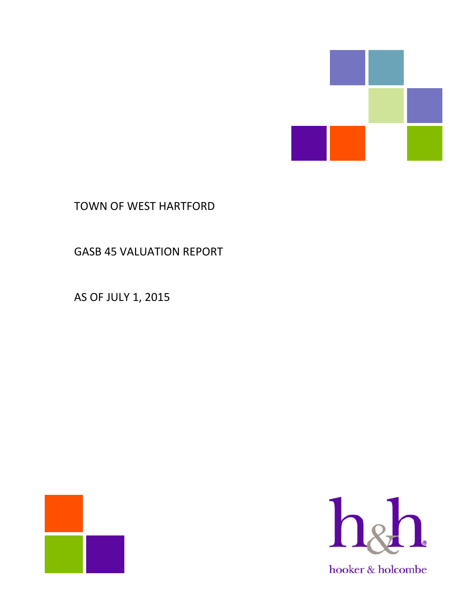

# TOWN OF WEST HARTFORD

GASB 45 VALUATION REPORT

AS OF JULY 1, 2015



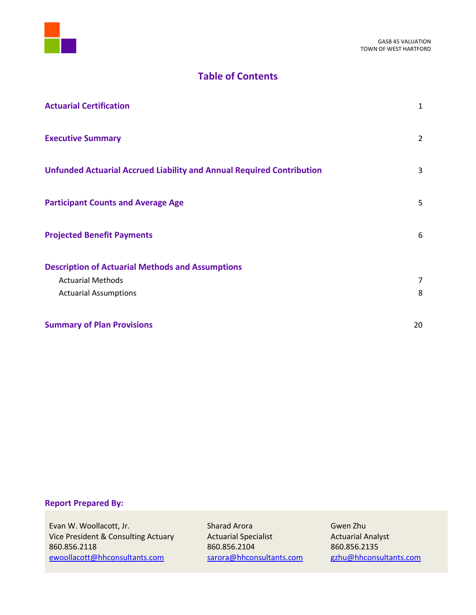

# **Table of Contents**

| <b>Actuarial Certification</b>                                               | $\mathbf{1}$ |
|------------------------------------------------------------------------------|--------------|
| <b>Executive Summary</b>                                                     | 2            |
| <b>Unfunded Actuarial Accrued Liability and Annual Required Contribution</b> | 3            |
| <b>Participant Counts and Average Age</b>                                    | 5            |
| <b>Projected Benefit Payments</b>                                            | 6            |
| <b>Description of Actuarial Methods and Assumptions</b>                      |              |
| <b>Actuarial Methods</b>                                                     | 7            |
| <b>Actuarial Assumptions</b>                                                 | 8            |
| <b>Summary of Plan Provisions</b>                                            | 20           |

# **Report Prepared By:**

Evan W. Woollacott, Jr. Sharad Arora Charad Arora Charad Arora Charad Arora Charad Arora Gwen Zhu<br>
Vice President & Consulting Actuary Actuarial Specialist Charactuarial A Vice President & Consulting Actuary Actuarial Specialist Actuarial Analyst 860.856.2118<br>
ewoollacott@hhconsultants.com sarora@hhconsultants.com gzhu@hhconsultants.com ewoollacott@hhconsultants.com sarora@hhconsultants.com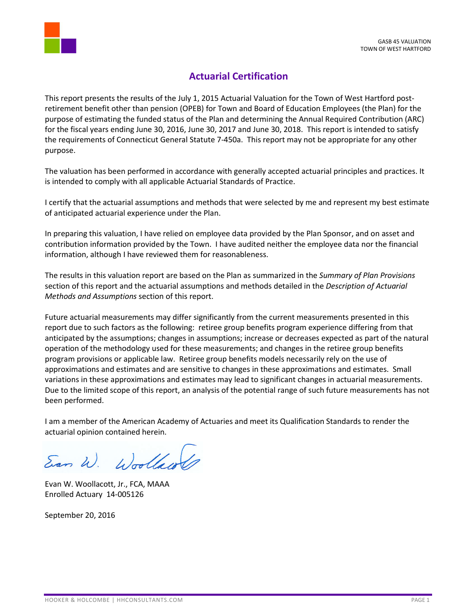

# **Actuarial Certification**

This report presents the results of the July 1, 2015 Actuarial Valuation for the Town of West Hartford postretirement benefit other than pension (OPEB) for Town and Board of Education Employees (the Plan) for the purpose of estimating the funded status of the Plan and determining the Annual Required Contribution (ARC) for the fiscal years ending June 30, 2016, June 30, 2017 and June 30, 2018. This report is intended to satisfy the requirements of Connecticut General Statute 7-450a. This report may not be appropriate for any other purpose.

The valuation has been performed in accordance with generally accepted actuarial principles and practices. It is intended to comply with all applicable Actuarial Standards of Practice.

I certify that the actuarial assumptions and methods that were selected by me and represent my best estimate of anticipated actuarial experience under the Plan.

In preparing this valuation, I have relied on employee data provided by the Plan Sponsor, and on asset and contribution information provided by the Town. I have audited neither the employee data nor the financial information, although I have reviewed them for reasonableness.

The results in this valuation report are based on the Plan as summarized in the *Summary of Plan Provisions* section of this report and the actuarial assumptions and methods detailed in the *Description of Actuarial Methods and Assumptions* section of this report.

Future actuarial measurements may differ significantly from the current measurements presented in this report due to such factors as the following: retiree group benefits program experience differing from that anticipated by the assumptions; changes in assumptions; increase or decreases expected as part of the natural operation of the methodology used for these measurements; and changes in the retiree group benefits program provisions or applicable law. Retiree group benefits models necessarily rely on the use of approximations and estimates and are sensitive to changes in these approximations and estimates. Small variations in these approximations and estimates may lead to significant changes in actuarial measurements. Due to the limited scope of this report, an analysis of the potential range of such future measurements has not been performed.

I am a member of the American Academy of Actuaries and meet its Qualification Standards to render the actuarial opinion contained herein.

Ean W. Woollaws

Evan W. Woollacott, Jr., FCA, MAAA Enrolled Actuary 14-005126

September 20, 2016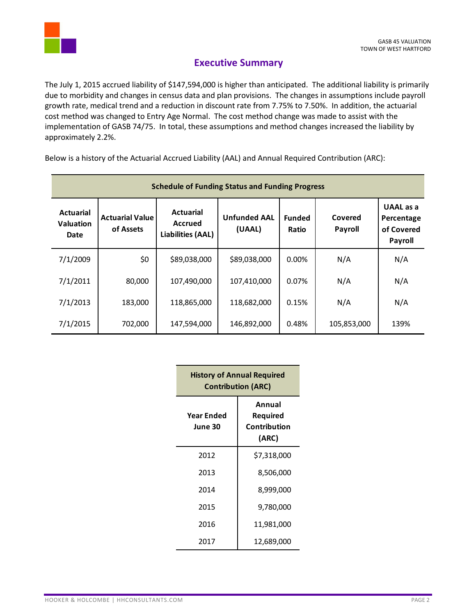

# **Executive Summary**

The July 1, 2015 accrued liability of \$147,594,000 is higher than anticipated. The additional liability is primarily due to morbidity and changes in census data and plan provisions. The changes in assumptions include payroll growth rate, medical trend and a reduction in discount rate from 7.75% to 7.50%. In addition, the actuarial cost method was changed to Entry Age Normal. The cost method change was made to assist with the implementation of GASB 74/75. In total, these assumptions and method changes increased the liability by approximately 2.2%.

Below is a history of the Actuarial Accrued Liability (AAL) and Annual Required Contribution (ARC):

| <b>Schedule of Funding Status and Funding Progress</b> |                                     |                                                         |                               |                        |                    |                                                         |
|--------------------------------------------------------|-------------------------------------|---------------------------------------------------------|-------------------------------|------------------------|--------------------|---------------------------------------------------------|
| <b>Actuarial</b><br><b>Valuation</b><br>Date           | <b>Actuarial Value</b><br>of Assets | <b>Actuarial</b><br>Accrued<br><b>Liabilities (AAL)</b> | <b>Unfunded AAL</b><br>(UAAL) | <b>Funded</b><br>Ratio | Covered<br>Payroll | <b>UAAL</b> as a<br>Percentage<br>of Covered<br>Payroll |
| 7/1/2009                                               | \$0                                 | \$89,038,000                                            | \$89,038,000                  | $0.00\%$               | N/A                | N/A                                                     |
| 7/1/2011                                               | 80,000                              | 107,490,000                                             | 107,410,000                   | 0.07%                  | N/A                | N/A                                                     |
| 7/1/2013                                               | 183,000                             | 118,865,000                                             | 118,682,000                   | 0.15%                  | N/A                | N/A                                                     |
| 7/1/2015                                               | 702,000                             | 147,594,000                                             | 146,892,000                   | 0.48%                  | 105,853,000        | 139%                                                    |

| <b>History of Annual Required</b><br><b>Contribution (ARC)</b> |                                             |  |
|----------------------------------------------------------------|---------------------------------------------|--|
| Year Ended<br>June 30                                          | Annual<br>Required<br>Contribution<br>(ARC) |  |
| 2012                                                           | \$7,318,000                                 |  |
| 2013                                                           | 8,506,000                                   |  |
| 2014                                                           | 8,999,000                                   |  |
| 2015                                                           | 9,780,000                                   |  |
| 2016                                                           | 11,981,000                                  |  |
| 2017                                                           | 12,689,000                                  |  |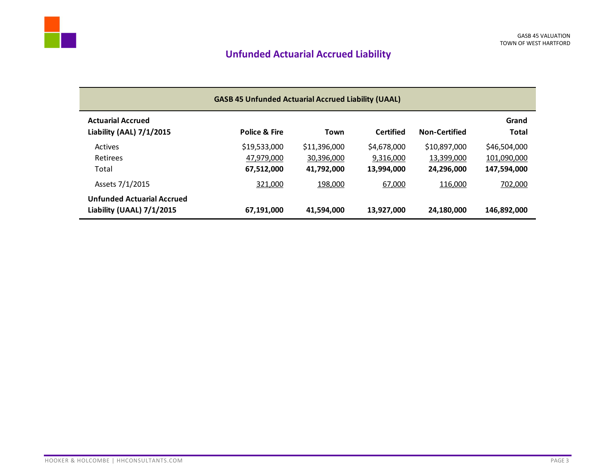# **Unfunded Actuarial Accrued Liability**

| <b>GASB 45 Unfunded Actuarial Accrued Liability (UAAL)</b>     |               |              |                  |                      |                       |
|----------------------------------------------------------------|---------------|--------------|------------------|----------------------|-----------------------|
| <b>Actuarial Accrued</b><br>Liability (AAL) 7/1/2015           | Police & Fire | Town         | <b>Certified</b> | <b>Non-Certified</b> | Grand<br><b>Total</b> |
| Actives                                                        | \$19,533,000  | \$11,396,000 | \$4,678,000      | \$10,897,000         | \$46,504,000          |
| Retirees                                                       | 47,979,000    | 30,396,000   | 9,316,000        | 13,399,000           | 101,090,000           |
| Total                                                          | 67,512,000    | 41,792,000   | 13,994,000       | 24,296,000           | 147,594,000           |
| Assets 7/1/2015                                                | 321,000       | 198,000      | 67,000           | 116,000              | 7 <u>02,000</u>       |
| <b>Unfunded Actuarial Accrued</b><br>Liability (UAAL) 7/1/2015 | 67,191,000    | 41,594,000   | 13,927,000       | 24,180,000           | 146,892,000           |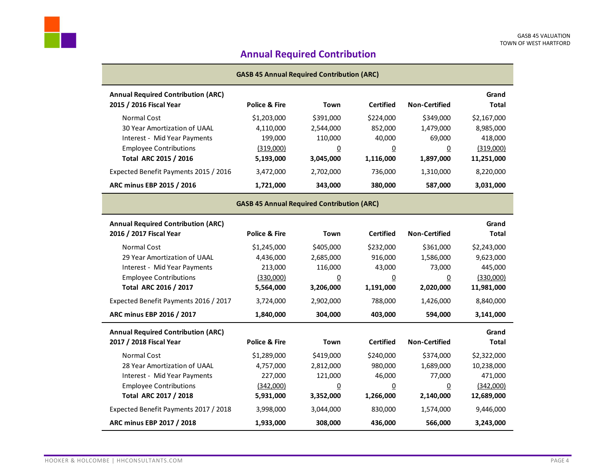# **Annual Required Contribution**

| <b>GASB 45 Annual Required Contribution (ARC)</b> |                                                   |                |                  |                      |              |
|---------------------------------------------------|---------------------------------------------------|----------------|------------------|----------------------|--------------|
| <b>Annual Required Contribution (ARC)</b>         |                                                   |                |                  |                      | Grand        |
| 2015 / 2016 Fiscal Year                           | <b>Police &amp; Fire</b>                          | Town           | <b>Certified</b> | <b>Non-Certified</b> | <b>Total</b> |
| <b>Normal Cost</b>                                | \$1,203,000                                       | \$391,000      | \$224,000        | \$349,000            | \$2,167,000  |
| 30 Year Amortization of UAAL                      | 4,110,000                                         | 2,544,000      | 852,000          | 1,479,000            | 8,985,000    |
| Interest - Mid Year Payments                      | 199,000                                           | 110,000        | 40,000           | 69,000               | 418,000      |
| <b>Employee Contributions</b>                     | (319,000)                                         | $\overline{0}$ | $\underline{0}$  | $\underline{0}$      | (319,000)    |
| Total ARC 2015 / 2016                             | 5,193,000                                         | 3,045,000      | 1,116,000        | 1,897,000            | 11,251,000   |
| Expected Benefit Payments 2015 / 2016             | 3,472,000                                         | 2,702,000      | 736,000          | 1,310,000            | 8,220,000    |
| ARC minus EBP 2015 / 2016                         | 1,721,000                                         | 343,000        | 380,000          | 587,000              | 3,031,000    |
|                                                   | <b>GASB 45 Annual Required Contribution (ARC)</b> |                |                  |                      |              |
| <b>Annual Required Contribution (ARC)</b>         |                                                   |                |                  |                      | Grand        |
| 2016 / 2017 Fiscal Year                           | <b>Police &amp; Fire</b>                          | Town           | <b>Certified</b> | <b>Non-Certified</b> | Total        |
| <b>Normal Cost</b>                                | \$1,245,000                                       | \$405,000      | \$232,000        | \$361,000            | \$2,243,000  |
| 29 Year Amortization of UAAL                      | 4,436,000                                         | 2,685,000      | 916,000          | 1,586,000            | 9,623,000    |
| Interest - Mid Year Payments                      | 213,000                                           | 116,000        | 43,000           | 73,000               | 445,000      |
| <b>Employee Contributions</b>                     | (330,000)                                         | <u>0</u>       | $\overline{0}$   | 0                    | (330,000)    |
| Total ARC 2016 / 2017                             | 5,564,000                                         | 3,206,000      | 1,191,000        | 2,020,000            | 11,981,000   |
| Expected Benefit Payments 2016 / 2017             | 3,724,000                                         | 2,902,000      | 788,000          | 1,426,000            | 8,840,000    |
| ARC minus EBP 2016 / 2017                         | 1,840,000                                         | 304,000        | 403,000          | 594,000              | 3,141,000    |
| <b>Annual Required Contribution (ARC)</b>         |                                                   |                |                  |                      | Grand        |
| 2017 / 2018 Fiscal Year                           | Police & Fire                                     | Town           | <b>Certified</b> | <b>Non-Certified</b> | Total        |
| <b>Normal Cost</b>                                | \$1,289,000                                       | \$419,000      | \$240,000        | \$374,000            | \$2,322,000  |
| 28 Year Amortization of UAAL                      | 4,757,000                                         | 2,812,000      | 980,000          | 1,689,000            | 10,238,000   |
| Interest - Mid Year Payments                      | 227,000                                           | 121,000        | 46,000           | 77,000               | 471,000      |
| <b>Employee Contributions</b>                     | (342,000)                                         | <u>0</u>       | $\overline{0}$   | $\overline{0}$       | (342,000)    |
| Total ARC 2017 / 2018                             | 5,931,000                                         | 3,352,000      | 1,266,000        | 2,140,000            | 12,689,000   |
| Expected Benefit Payments 2017 / 2018             | 3,998,000                                         | 3,044,000      | 830,000          | 1,574,000            | 9,446,000    |
| ARC minus EBP 2017 / 2018                         | 1,933,000                                         | 308,000        | 436,000          | 566,000              | 3,243,000    |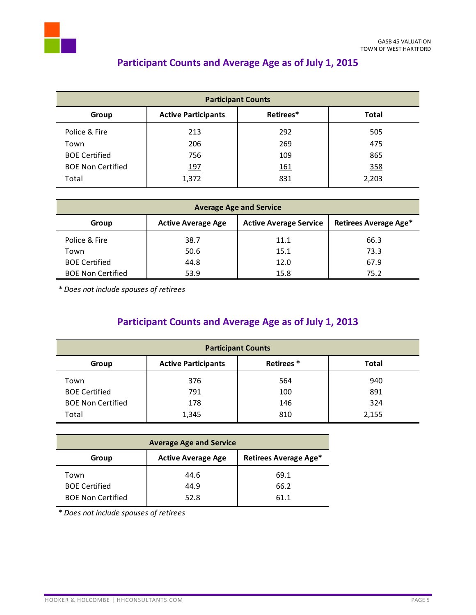

# **Participant Counts and Average Age as of July 1, 2015**

| <b>Participant Counts</b> |                            |            |              |
|---------------------------|----------------------------|------------|--------------|
| Group                     | <b>Active Participants</b> | Retirees*  | <b>Total</b> |
| Police & Fire             | 213                        | 292        | 505          |
| Town                      | 206                        | 269        | 475          |
| <b>BOE Certified</b>      | 756                        | 109        | 865          |
| <b>BOE Non Certified</b>  | <u>197</u>                 | <u>161</u> | 358          |
| Total                     | 1,372                      | 831        | 2,203        |

| <b>Average Age and Service</b> |                           |                               |                       |
|--------------------------------|---------------------------|-------------------------------|-----------------------|
| Group                          | <b>Active Average Age</b> | <b>Active Average Service</b> | Retirees Average Age* |
| Police & Fire                  | 38.7                      | 11.1                          | 66.3                  |
| Town                           | 50.6                      | 15.1                          | 73.3                  |
| <b>BOE Certified</b>           | 44.8                      | 12.0                          | 67.9                  |
| <b>BOE Non Certified</b>       | 53.9                      | 15.8                          | 75.2                  |

*\* Does not include spouses of retirees*

# **Participant Counts and Average Age as of July 1, 2013**

| <b>Participant Counts</b> |                            |            |              |
|---------------------------|----------------------------|------------|--------------|
| Group                     | <b>Active Participants</b> | Retirees*  | <b>Total</b> |
| Town                      | 376                        | 564        | 940          |
| <b>BOE Certified</b>      | 791                        | 100        | 891          |
| <b>BOE Non Certified</b>  | <u>178</u>                 | <u>146</u> | 324          |
| Total                     | 1,345                      | 810        | 2,155        |

| <b>Average Age and Service</b> |                           |                       |  |
|--------------------------------|---------------------------|-----------------------|--|
| Group                          | <b>Active Average Age</b> | Retirees Average Age* |  |
| Town                           | 44.6                      | 69.1                  |  |
| <b>BOE Certified</b>           | 44.9                      | 66.2                  |  |
| <b>BOE Non Certified</b>       | 52.8                      | 61.1                  |  |

*\* Does not include spouses of retirees*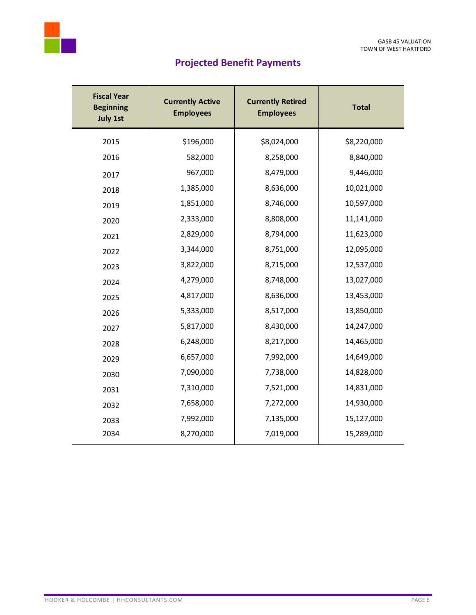

# **Projected Benefit Payments**

| <b>Fiscal Year</b><br><b>Beginning</b><br><b>July 1st</b> | <b>Currently Active</b><br><b>Employees</b> | <b>Currently Retired</b><br><b>Employees</b> | <b>Total</b> |
|-----------------------------------------------------------|---------------------------------------------|----------------------------------------------|--------------|
| 2015                                                      | \$196,000                                   | \$8,024,000                                  | \$8,220,000  |
| 2016                                                      | 582,000                                     | 8,258,000                                    | 8,840,000    |
| 2017                                                      | 967,000                                     | 8,479,000                                    | 9,446,000    |
| 2018                                                      | 1,385,000                                   | 8,636,000                                    | 10,021,000   |
| 2019                                                      | 1,851,000                                   | 8,746,000                                    | 10,597,000   |
| 2020                                                      | 2,333,000                                   | 8,808,000                                    | 11,141,000   |
| 2021                                                      | 2,829,000                                   | 8,794,000                                    | 11,623,000   |
| 2022                                                      | 3,344,000                                   | 8,751,000                                    | 12,095,000   |
| 2023                                                      | 3,822,000                                   | 8,715,000                                    | 12,537,000   |
| 2024                                                      | 4,279,000                                   | 8,748,000                                    | 13,027,000   |
| 2025                                                      | 4,817,000                                   | 8,636,000                                    | 13,453,000   |
| 2026                                                      | 5,333,000                                   | 8,517,000                                    | 13,850,000   |
| 2027                                                      | 5,817,000                                   | 8,430,000                                    | 14,247,000   |
| 2028                                                      | 6,248,000                                   | 8,217,000                                    | 14,465,000   |
| 2029                                                      | 6,657,000                                   | 7,992,000                                    | 14,649,000   |
| 2030                                                      | 7,090,000                                   | 7,738,000                                    | 14,828,000   |
| 2031                                                      | 7,310,000                                   | 7,521,000                                    | 14,831,000   |
| 2032                                                      | 7,658,000                                   | 7,272,000                                    | 14,930,000   |
| 2033                                                      | 7,992,000                                   | 7,135,000                                    | 15,127,000   |
| 2034                                                      | 8,270,000                                   | 7,019,000                                    | 15,289,000   |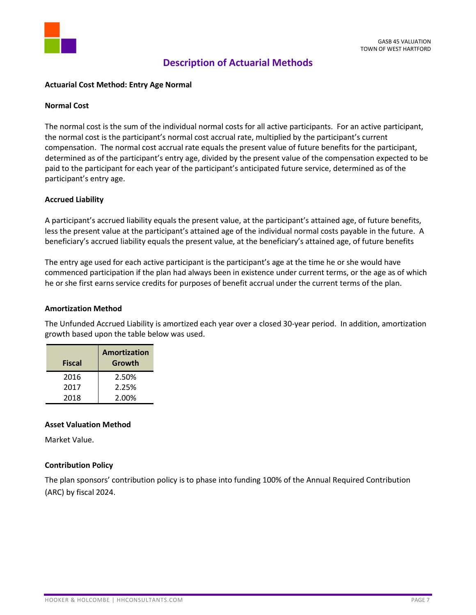

# **Description of Actuarial Methods**

## **Actuarial Cost Method: Entry Age Normal**

#### **Normal Cost**

The normal cost is the sum of the individual normal costs for all active participants. For an active participant, the normal cost is the participant's normal cost accrual rate, multiplied by the participant's current compensation. The normal cost accrual rate equals the present value of future benefits for the participant, determined as of the participant's entry age, divided by the present value of the compensation expected to be paid to the participant for each year of the participant's anticipated future service, determined as of the participant's entry age.

## **Accrued Liability**

A participant's accrued liability equals the present value, at the participant's attained age, of future benefits, less the present value at the participant's attained age of the individual normal costs payable in the future. A beneficiary's accrued liability equals the present value, at the beneficiary's attained age, of future benefits

The entry age used for each active participant is the participant's age at the time he or she would have commenced participation if the plan had always been in existence under current terms, or the age as of which he or she first earns service credits for purposes of benefit accrual under the current terms of the plan.

#### **Amortization Method**

The Unfunded Accrued Liability is amortized each year over a closed 30-year period. In addition, amortization growth based upon the table below was used.

| <b>Fiscal</b> | Amortization<br>Growth |
|---------------|------------------------|
| 2016          | 2.50%                  |
| 2017          | 2.25%                  |
| 2018          | 2.00%                  |

# **Asset Valuation Method**

Market Value.

# **Contribution Policy**

The plan sponsors' contribution policy is to phase into funding 100% of the Annual Required Contribution (ARC) by fiscal 2024.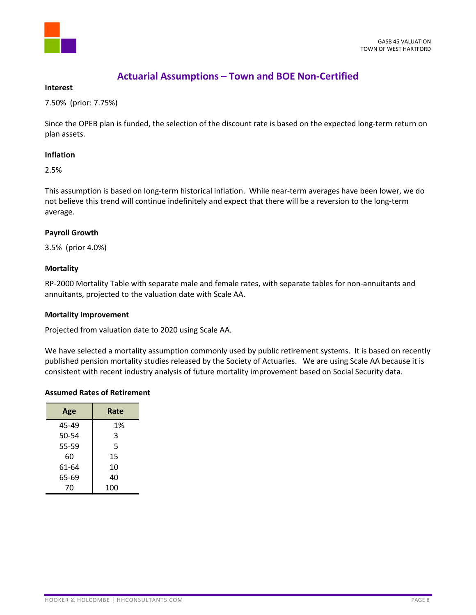

# **Actuarial Assumptions – Town and BOE Non-Certified**

#### **Interest**

7.50% (prior: 7.75%)

Since the OPEB plan is funded, the selection of the discount rate is based on the expected long-term return on plan assets.

# **Inflation**

2.5%

This assumption is based on long-term historical inflation. While near-term averages have been lower, we do not believe this trend will continue indefinitely and expect that there will be a reversion to the long-term average.

# **Payroll Growth**

3.5% (prior 4.0%)

# **Mortality**

RP-2000 Mortality Table with separate male and female rates, with separate tables for non-annuitants and annuitants, projected to the valuation date with Scale AA.

#### **Mortality Improvement**

Projected from valuation date to 2020 using Scale AA.

We have selected a mortality assumption commonly used by public retirement systems. It is based on recently published pension mortality studies released by the Society of Actuaries. We are using Scale AA because it is consistent with recent industry analysis of future mortality improvement based on Social Security data.

#### **Assumed Rates of Retirement**

| Age   | Rate |
|-------|------|
| 45-49 | 1%   |
| 50-54 | 3    |
| 55-59 | 5    |
| 60    | 15   |
| 61-64 | 10   |
| 65-69 | 40   |
| 70    | 100  |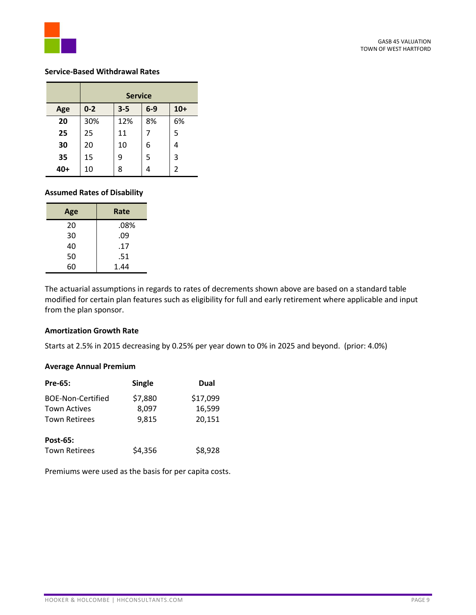

#### **Service-Based Withdrawal Rates**

|     | <b>Service</b> |         |       |       |
|-----|----------------|---------|-------|-------|
| Age | $0 - 2$        | $3 - 5$ | $6-9$ | $10+$ |
| 20  | 30%            | 12%     | 8%    | 6%    |
| 25  | 25             | 11      |       | 5     |
| 30  | 20             | 10      | 6     |       |
| 35  | 15             | 9       | 5     | 3     |
| 40+ | 10             | 8       |       | 2     |

# **Assumed Rates of Disability**

| Age | Rate |  |
|-----|------|--|
| 20  | .08% |  |
| 30  | .09  |  |
| 40  | .17  |  |
| 50  | .51  |  |
| 60  | 1.44 |  |

The actuarial assumptions in regards to rates of decrements shown above are based on a standard table modified for certain plan features such as eligibility for full and early retirement where applicable and input from the plan sponsor.

#### **Amortization Growth Rate**

Starts at 2.5% in 2015 decreasing by 0.25% per year down to 0% in 2025 and beyond. (prior: 4.0%)

#### **Average Annual Premium**

| <b>Pre-65:</b>           | <b>Single</b> | Dual     |
|--------------------------|---------------|----------|
| <b>BOE-Non-Certified</b> | \$7,880       | \$17,099 |
| <b>Town Actives</b>      | 8,097         | 16,599   |
| <b>Town Retirees</b>     | 9.815         | 20,151   |
| Post-65:                 |               |          |
| <b>Town Retirees</b>     | \$4,356       | \$8,928  |

Premiums were used as the basis for per capita costs.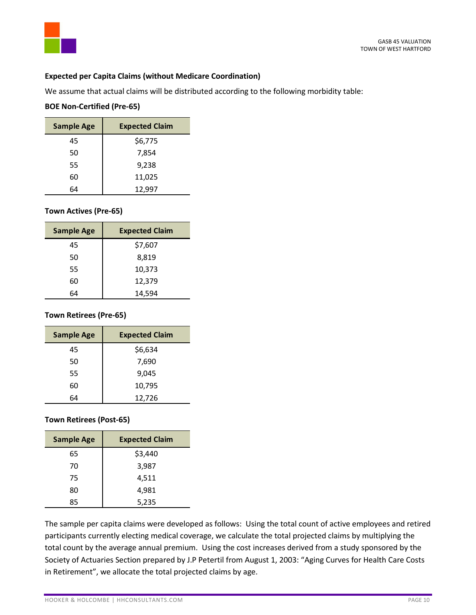# **Expected per Capita Claims (without Medicare Coordination)**

We assume that actual claims will be distributed according to the following morbidity table:

# **BOE Non-Certified (Pre-65)**

| <b>Sample Age</b> | <b>Expected Claim</b> |
|-------------------|-----------------------|
| 45                | \$6,775               |
| 50                | 7,854                 |
| 55                | 9,238                 |
| 60                | 11,025                |
| 64                | 12,997                |

# **Town Actives (Pre-65)**

| <b>Sample Age</b> | <b>Expected Claim</b> |
|-------------------|-----------------------|
| 45                | \$7,607               |
| 50                | 8,819                 |
| 55                | 10,373                |
| 60                | 12,379                |
| 64                | 14,594                |

# **Town Retirees (Pre-65)**

| <b>Sample Age</b> | <b>Expected Claim</b> |
|-------------------|-----------------------|
| 45                | \$6,634               |
| 50                | 7,690                 |
| 55                | 9,045                 |
| 60                | 10,795                |
| 64                | 12,726                |

# **Town Retirees (Post-65)**

| <b>Sample Age</b> | <b>Expected Claim</b> |
|-------------------|-----------------------|
| 65                | \$3,440               |
| 70                | 3,987                 |
| 75                | 4,511                 |
| 80                | 4,981                 |
| 85                | 5,235                 |

The sample per capita claims were developed as follows: Using the total count of active employees and retired participants currently electing medical coverage, we calculate the total projected claims by multiplying the total count by the average annual premium. Using the cost increases derived from a study sponsored by the Society of Actuaries Section prepared by J.P Petertil from August 1, 2003: "Aging Curves for Health Care Costs in Retirement", we allocate the total projected claims by age.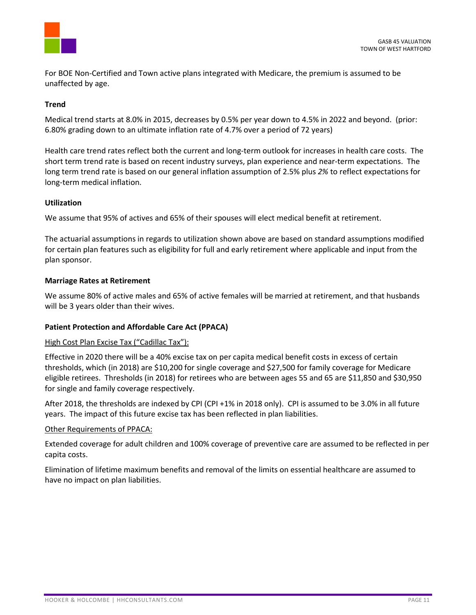

For BOE Non-Certified and Town active plans integrated with Medicare, the premium is assumed to be unaffected by age.

# **Trend**

Medical trend starts at 8.0% in 2015, decreases by 0.5% per year down to 4.5% in 2022 and beyond. (prior: 6.80% grading down to an ultimate inflation rate of 4.7% over a period of 72 years)

Health care trend rates reflect both the current and long-term outlook for increases in health care costs. The short term trend rate is based on recent industry surveys, plan experience and near-term expectations. The long term trend rate is based on our general inflation assumption of 2.5% plus *2%* to reflect expectations for long-term medical inflation.

# **Utilization**

We assume that 95% of actives and 65% of their spouses will elect medical benefit at retirement.

The actuarial assumptions in regards to utilization shown above are based on standard assumptions modified for certain plan features such as eligibility for full and early retirement where applicable and input from the plan sponsor.

## **Marriage Rates at Retirement**

We assume 80% of active males and 65% of active females will be married at retirement, and that husbands will be 3 years older than their wives.

# **Patient Protection and Affordable Care Act (PPACA)**

#### High Cost Plan Excise Tax ("Cadillac Tax"):

Effective in 2020 there will be a 40% excise tax on per capita medical benefit costs in excess of certain thresholds, which (in 2018) are \$10,200 for single coverage and \$27,500 for family coverage for Medicare eligible retirees. Thresholds (in 2018) for retirees who are between ages 55 and 65 are \$11,850 and \$30,950 for single and family coverage respectively.

After 2018, the thresholds are indexed by CPI (CPI +1% in 2018 only). CPI is assumed to be 3.0% in all future years. The impact of this future excise tax has been reflected in plan liabilities.

#### Other Requirements of PPACA:

Extended coverage for adult children and 100% coverage of preventive care are assumed to be reflected in per capita costs.

Elimination of lifetime maximum benefits and removal of the limits on essential healthcare are assumed to have no impact on plan liabilities.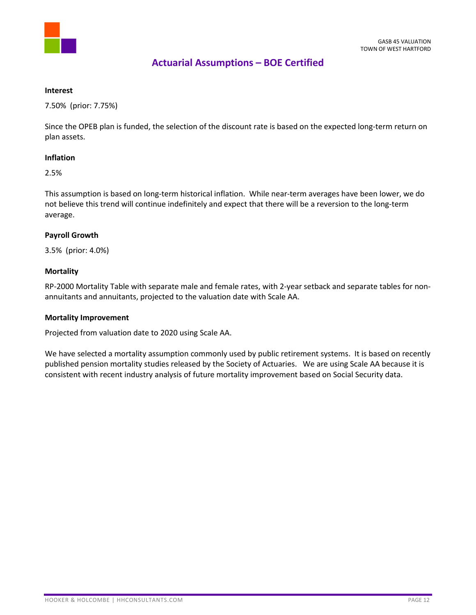

# **Actuarial Assumptions – BOE Certified**

#### **Interest**

7.50% (prior: 7.75%)

Since the OPEB plan is funded, the selection of the discount rate is based on the expected long-term return on plan assets.

# **Inflation**

2.5%

This assumption is based on long-term historical inflation. While near-term averages have been lower, we do not believe this trend will continue indefinitely and expect that there will be a reversion to the long-term average.

# **Payroll Growth**

3.5% (prior: 4.0%)

# **Mortality**

RP-2000 Mortality Table with separate male and female rates, with 2-year setback and separate tables for nonannuitants and annuitants, projected to the valuation date with Scale AA.

# **Mortality Improvement**

Projected from valuation date to 2020 using Scale AA.

We have selected a mortality assumption commonly used by public retirement systems. It is based on recently published pension mortality studies released by the Society of Actuaries. We are using Scale AA because it is consistent with recent industry analysis of future mortality improvement based on Social Security data.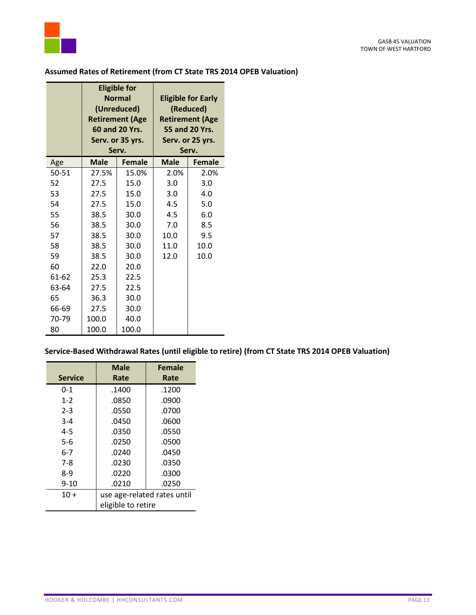

|           | <b>Eligible for</b><br><b>Normal</b><br>(Unreduced)<br><b>Retirement (Age</b><br>60 and 20 Yrs.<br>Serv. or 35 yrs.<br>Serv. |               |             | <b>Eligible for Early</b><br>(Reduced)<br><b>Retirement (Age</b><br>55 and 20 Yrs.<br>Serv. or 25 yrs.<br>Serv. |
|-----------|------------------------------------------------------------------------------------------------------------------------------|---------------|-------------|-----------------------------------------------------------------------------------------------------------------|
| Age       | <b>Male</b>                                                                                                                  | <b>Female</b> | <b>Male</b> | <b>Female</b>                                                                                                   |
| $50 - 51$ | 27.5%                                                                                                                        | 15.0%         | 2.0%        | 2.0%                                                                                                            |
| 52        | 27.5                                                                                                                         | 15.0          | 3.0         | 3.0                                                                                                             |
| 53        | 27.5                                                                                                                         | 15.0          | 3.0         | 4.0                                                                                                             |
| 54        | 27.5                                                                                                                         | 15.0          | 4.5         | 5.0                                                                                                             |
| 55        | 38.5                                                                                                                         | 30.0          | 4.5         | 6.0                                                                                                             |
| 56        | 38.5                                                                                                                         | 30.0          | 7.0         | 8.5                                                                                                             |
| 57        | 38.5                                                                                                                         | 30.0          | 10.0        | 9.5                                                                                                             |
| 58        | 38.5                                                                                                                         | 30.0          | 11.0        | 10.0                                                                                                            |
| 59        | 38.5                                                                                                                         | 30.0          | 12.0        | 10.0                                                                                                            |
| 60        | 22.0                                                                                                                         | 20.0          |             |                                                                                                                 |
| 61-62     | 25.3                                                                                                                         | 22.5          |             |                                                                                                                 |
| 63-64     | 27.5                                                                                                                         | 22.5          |             |                                                                                                                 |
| 65        | 36.3                                                                                                                         | 30.0          |             |                                                                                                                 |
| 66-69     | 27.5                                                                                                                         | 30.0          |             |                                                                                                                 |
| 70-79     | 100.0                                                                                                                        | 40.0          |             |                                                                                                                 |
| 80        | 100.0                                                                                                                        | 100.0         |             |                                                                                                                 |

# **Assumed Rates of Retirement (from CT State TRS 2014 OPEB Valuation)**

**Service-Based Withdrawal Rates (until eligible to retire) (from CT State TRS 2014 OPEB Valuation)**

|                | <b>Male</b>                 | <b>Female</b> |
|----------------|-----------------------------|---------------|
| <b>Service</b> | Rate                        | Rate          |
| $0 - 1$        | .1400                       | .1200         |
| $1 - 2$        | .0850                       | .0900         |
| $2 - 3$        | .0550                       | .0700         |
| $3 - 4$        | .0450                       | .0600         |
| $4 - 5$        | .0350                       | .0550         |
| $5 - 6$        | .0250                       | .0500         |
| $6 - 7$        | .0240                       | .0450         |
| $7-8$          | .0230                       | .0350         |
| $8-9$          | .0220                       | .0300         |
| $9 - 10$       | .0210                       | .0250         |
| $10+$          | use age-related rates until |               |
|                | eligible to retire          |               |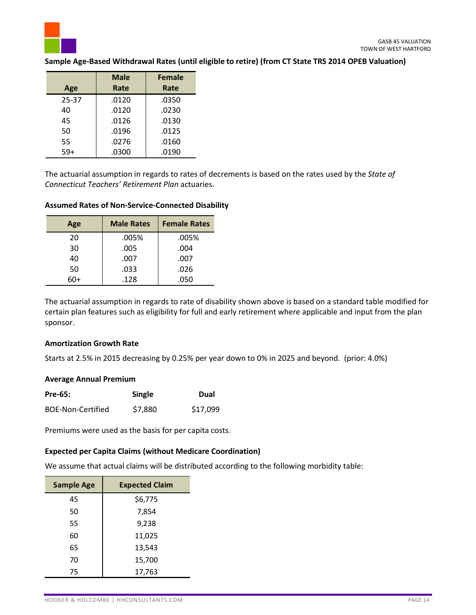

## **Sample Age-Based Withdrawal Rates (until eligible to retire) (from CT State TRS 2014 OPEB Valuation)**

|       | <b>Male</b> | <b>Female</b> |
|-------|-------------|---------------|
| Age   | Rate        | Rate          |
| 25-37 | .0120       | .0350         |
| 40    | .0120       | .0230         |
| 45    | .0126       | .0130         |
| 50    | .0196       | .0125         |
| 55    | .0276       | .0160         |
| 59+   | .0300       | .0190         |

The actuarial assumption in regards to rates of decrements is based on the rates used by the *State of Connecticut Teachers' Retirement Plan* actuaries.

#### **Assumed Rates of Non-Service-Connected Disability**

| Age | <b>Male Rates</b> | <b>Female Rates</b> |
|-----|-------------------|---------------------|
| 20  | .005%             | .005%               |
| 30  | .005              | .004                |
| 40  | .007              | .007                |
| 50  | .033              | .026                |
| ናበ+ | .128              | .050                |

The actuarial assumption in regards to rate of disability shown above is based on a standard table modified for certain plan features such as eligibility for full and early retirement where applicable and input from the plan sponsor.

#### **Amortization Growth Rate**

Starts at 2.5% in 2015 decreasing by 0.25% per year down to 0% in 2025 and beyond. (prior: 4.0%)

#### **Average Annual Premium**

| <b>Pre-65:</b>    | Single  | Dual     |
|-------------------|---------|----------|
| BOE-Non-Certified | \$7,880 | \$17,099 |

Premiums were used as the basis for per capita costs.

#### **Expected per Capita Claims (without Medicare Coordination)**

We assume that actual claims will be distributed according to the following morbidity table:

| <b>Sample Age</b> | <b>Expected Claim</b> |
|-------------------|-----------------------|
| 45                | \$6,775               |
| 50                | 7,854                 |
| 55                | 9,238                 |
| 60                | 11,025                |
| 65                | 13,543                |
| 70                | 15,700                |
| 75                | 17,763                |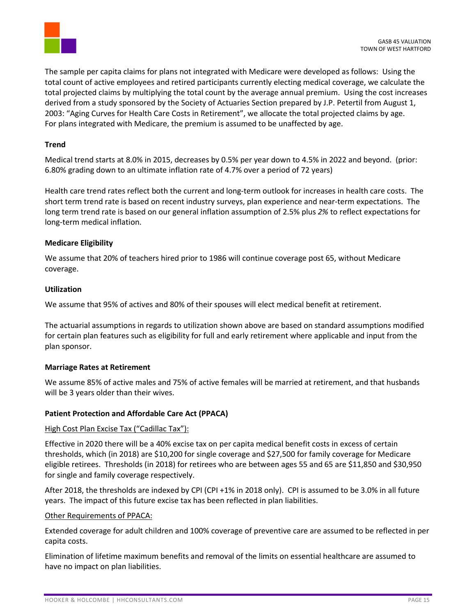

The sample per capita claims for plans not integrated with Medicare were developed as follows: Using the total count of active employees and retired participants currently electing medical coverage, we calculate the total projected claims by multiplying the total count by the average annual premium. Using the cost increases derived from a study sponsored by the Society of Actuaries Section prepared by J.P. Petertil from August 1, 2003: "Aging Curves for Health Care Costs in Retirement", we allocate the total projected claims by age. For plans integrated with Medicare, the premium is assumed to be unaffected by age.

# **Trend**

Medical trend starts at 8.0% in 2015, decreases by 0.5% per year down to 4.5% in 2022 and beyond. (prior: 6.80% grading down to an ultimate inflation rate of 4.7% over a period of 72 years)

Health care trend rates reflect both the current and long-term outlook for increases in health care costs. The short term trend rate is based on recent industry surveys, plan experience and near-term expectations. The long term trend rate is based on our general inflation assumption of 2.5% plus *2%* to reflect expectations for long-term medical inflation.

# **Medicare Eligibility**

We assume that 20% of teachers hired prior to 1986 will continue coverage post 65, without Medicare coverage.

## **Utilization**

We assume that 95% of actives and 80% of their spouses will elect medical benefit at retirement.

The actuarial assumptions in regards to utilization shown above are based on standard assumptions modified for certain plan features such as eligibility for full and early retirement where applicable and input from the plan sponsor.

# **Marriage Rates at Retirement**

We assume 85% of active males and 75% of active females will be married at retirement, and that husbands will be 3 years older than their wives.

# **Patient Protection and Affordable Care Act (PPACA)**

#### High Cost Plan Excise Tax ("Cadillac Tax"):

Effective in 2020 there will be a 40% excise tax on per capita medical benefit costs in excess of certain thresholds, which (in 2018) are \$10,200 for single coverage and \$27,500 for family coverage for Medicare eligible retirees. Thresholds (in 2018) for retirees who are between ages 55 and 65 are \$11,850 and \$30,950 for single and family coverage respectively.

After 2018, the thresholds are indexed by CPI (CPI +1% in 2018 only). CPI is assumed to be 3.0% in all future years. The impact of this future excise tax has been reflected in plan liabilities.

#### Other Requirements of PPACA:

Extended coverage for adult children and 100% coverage of preventive care are assumed to be reflected in per capita costs.

Elimination of lifetime maximum benefits and removal of the limits on essential healthcare are assumed to have no impact on plan liabilities.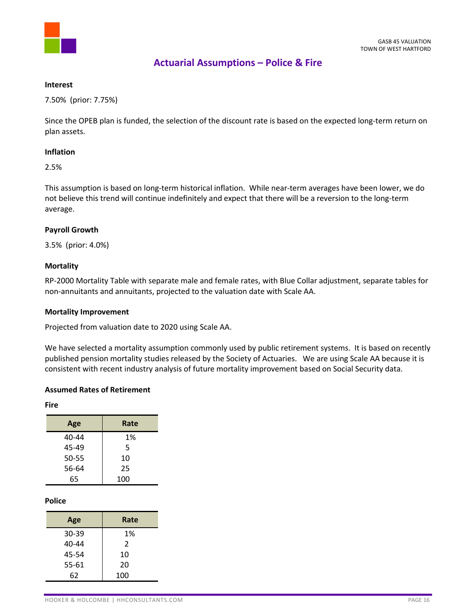

# **Actuarial Assumptions – Police & Fire**

#### **Interest**

7.50% (prior: 7.75%)

Since the OPEB plan is funded, the selection of the discount rate is based on the expected long-term return on plan assets.

# **Inflation**

2.5%

This assumption is based on long-term historical inflation. While near-term averages have been lower, we do not believe this trend will continue indefinitely and expect that there will be a reversion to the long-term average.

## **Payroll Growth**

3.5% (prior: 4.0%)

## **Mortality**

RP-2000 Mortality Table with separate male and female rates, with Blue Collar adjustment, separate tables for non-annuitants and annuitants, projected to the valuation date with Scale AA.

#### **Mortality Improvement**

Projected from valuation date to 2020 using Scale AA.

We have selected a mortality assumption commonly used by public retirement systems. It is based on recently published pension mortality studies released by the Society of Actuaries. We are using Scale AA because it is consistent with recent industry analysis of future mortality improvement based on Social Security data.

#### **Assumed Rates of Retirement**

**Fire**

| Age   | Rate |
|-------|------|
| 40-44 | 1%   |
| 45-49 | 5    |
| 50-55 | 10   |
| 56-64 | 25   |
| 65    | 100  |

#### **Police**

| Age   | Rate |
|-------|------|
| 30-39 | 1%   |
| 40-44 | 2    |
| 45-54 | 10   |
| 55-61 | 20   |
| 62    | 100  |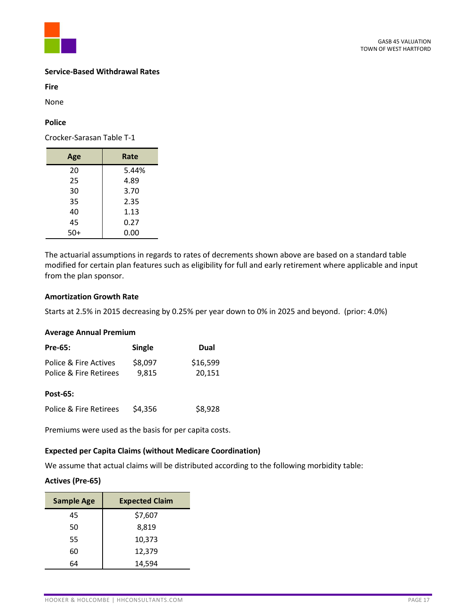

#### **Service-Based Withdrawal Rates**

**Fire**

None

# **Police**

Crocker-Sarasan Table T-1

| Age   | Rate  |
|-------|-------|
| 20    | 5.44% |
| 25    | 4.89  |
| 30    | 3.70  |
| 35    | 2.35  |
| 40    | 1.13  |
| 45    | 0.27  |
| $50+$ | 0.00  |

The actuarial assumptions in regards to rates of decrements shown above are based on a standard table modified for certain plan features such as eligibility for full and early retirement where applicable and input from the plan sponsor.

# **Amortization Growth Rate**

Starts at 2.5% in 2015 decreasing by 0.25% per year down to 0% in 2025 and beyond. (prior: 4.0%)

## **Average Annual Premium**

| <b>Pre-65:</b>         | <b>Single</b> | Dual     |
|------------------------|---------------|----------|
| Police & Fire Actives  | \$8,097       | \$16,599 |
| Police & Fire Retirees | 9,815         | 20,151   |
| Post-65:               |               |          |
| Police & Fire Retirees | \$4,356       | \$8,928  |

Premiums were used as the basis for per capita costs.

# **Expected per Capita Claims (without Medicare Coordination)**

We assume that actual claims will be distributed according to the following morbidity table:

# **Actives (Pre-65)**

| <b>Sample Age</b> | <b>Expected Claim</b> |
|-------------------|-----------------------|
| 45                | \$7,607               |
| 50                | 8,819                 |
| 55                | 10,373                |
| 60                | 12,379                |
| GΔ                | 14,594                |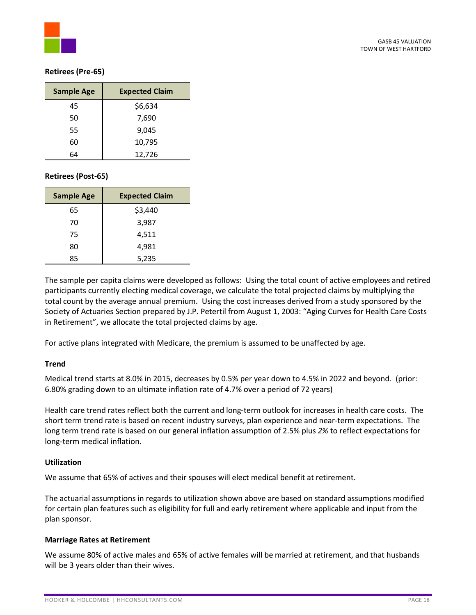

# **Retirees (Pre-65)**

| <b>Sample Age</b> | <b>Expected Claim</b> |
|-------------------|-----------------------|
| 45                | \$6,634               |
| 50                | 7,690                 |
| 55                | 9.045                 |
| 60                | 10,795                |
| 64                | 12,726                |

# **Retirees (Post-65)**

| <b>Sample Age</b> | <b>Expected Claim</b> |
|-------------------|-----------------------|
| 65                | \$3,440               |
| 70                | 3,987                 |
| 75                | 4,511                 |
| 80                | 4,981                 |
| 85                | 5,235                 |

The sample per capita claims were developed as follows: Using the total count of active employees and retired participants currently electing medical coverage, we calculate the total projected claims by multiplying the total count by the average annual premium. Using the cost increases derived from a study sponsored by the Society of Actuaries Section prepared by J.P. Petertil from August 1, 2003: "Aging Curves for Health Care Costs in Retirement", we allocate the total projected claims by age.

For active plans integrated with Medicare, the premium is assumed to be unaffected by age.

# **Trend**

Medical trend starts at 8.0% in 2015, decreases by 0.5% per year down to 4.5% in 2022 and beyond. (prior: 6.80% grading down to an ultimate inflation rate of 4.7% over a period of 72 years)

Health care trend rates reflect both the current and long-term outlook for increases in health care costs. The short term trend rate is based on recent industry surveys, plan experience and near-term expectations. The long term trend rate is based on our general inflation assumption of 2.5% plus *2%* to reflect expectations for long-term medical inflation.

#### **Utilization**

We assume that 65% of actives and their spouses will elect medical benefit at retirement.

The actuarial assumptions in regards to utilization shown above are based on standard assumptions modified for certain plan features such as eligibility for full and early retirement where applicable and input from the plan sponsor.

# **Marriage Rates at Retirement**

We assume 80% of active males and 65% of active females will be married at retirement, and that husbands will be 3 years older than their wives.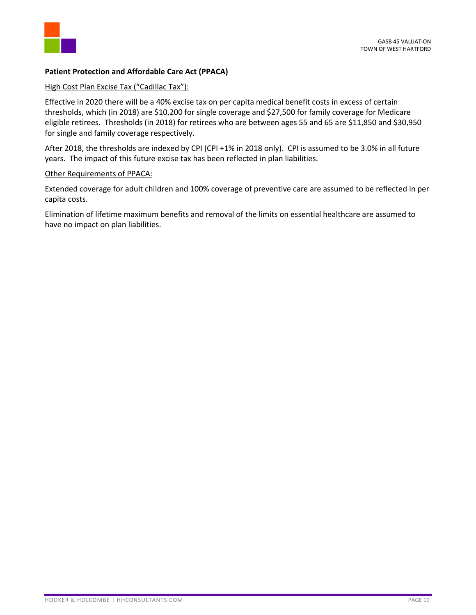

# **Patient Protection and Affordable Care Act (PPACA)**

# High Cost Plan Excise Tax ("Cadillac Tax"):

Effective in 2020 there will be a 40% excise tax on per capita medical benefit costs in excess of certain thresholds, which (in 2018) are \$10,200 for single coverage and \$27,500 for family coverage for Medicare eligible retirees. Thresholds (in 2018) for retirees who are between ages 55 and 65 are \$11,850 and \$30,950 for single and family coverage respectively.

After 2018, the thresholds are indexed by CPI (CPI +1% in 2018 only). CPI is assumed to be 3.0% in all future years. The impact of this future excise tax has been reflected in plan liabilities.

## Other Requirements of PPACA:

Extended coverage for adult children and 100% coverage of preventive care are assumed to be reflected in per capita costs.

Elimination of lifetime maximum benefits and removal of the limits on essential healthcare are assumed to have no impact on plan liabilities.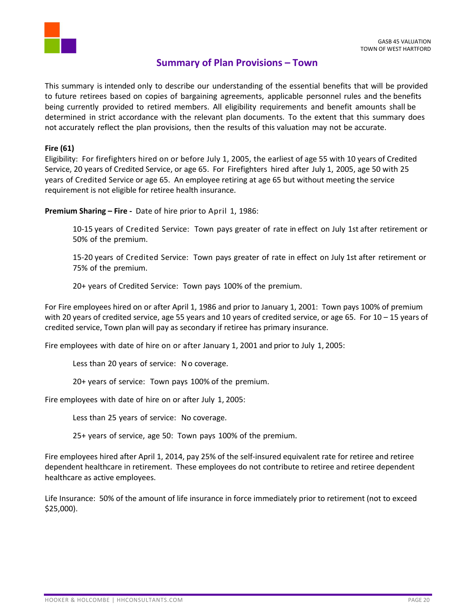

# **Summary of Plan Provisions – Town**

This summary is intended only to describe our understanding of the essential benefits that will be provided to future retirees based on copies of bargaining agreements, applicable personnel rules and the benefits being currently provided to retired members. All eligibility requirements and benefit amounts shall be determined in strict accordance with the relevant plan documents. To the extent that this summary does not accurately reflect the plan provisions, then the results of this valuation may not be accurate.

# **Fire (61)**

Eligibility: For firefighters hired on or before July 1, 2005, the earliest of age 55 with 10 years of Credited Service, 20 years of Credited Service, or age 65. For Firefighters hired after July 1, 2005, age 50 with 25 years of Credited Service or age 65. An employee retiring at age 65 but without meeting the service requirement is not eligible for retiree health insurance.

**Premium Sharing – Fire -** Date of hire prior to April 1, 1986:

10-15 years of Credited Service: Town pays greater of rate in effect on July 1st after retirement or 50% of the premium.

15-20 years of Credited Service: Town pays greater of rate in effect on July 1st after retirement or 75% of the premium.

20+ years of Credited Service: Town pays 100% of the premium.

For Fire employees hired on or after April 1, 1986 and prior to January 1, 2001: Town pays 100% of premium with 20 years of credited service, age 55 years and 10 years of credited service, or age 65. For  $10 - 15$  years of credited service, Town plan will pay as secondary if retiree has primary insurance.

Fire employees with date of hire on or after January 1, 2001 and prior to July 1, 2005:

Less than 20 years of service: No coverage.

20+ years of service: Town pays 100% of the premium.

Fire employees with date of hire on or after July 1, 2005:

Less than 25 years of service: No coverage.

25+ years of service, age 50: Town pays 100% of the premium.

Fire employees hired after April 1, 2014, pay 25% of the self-insured equivalent rate for retiree and retiree dependent healthcare in retirement. These employees do not contribute to retiree and retiree dependent healthcare as active employees.

Life Insurance: 50% of the amount of life insurance in force immediately prior to retirement (not to exceed \$25,000).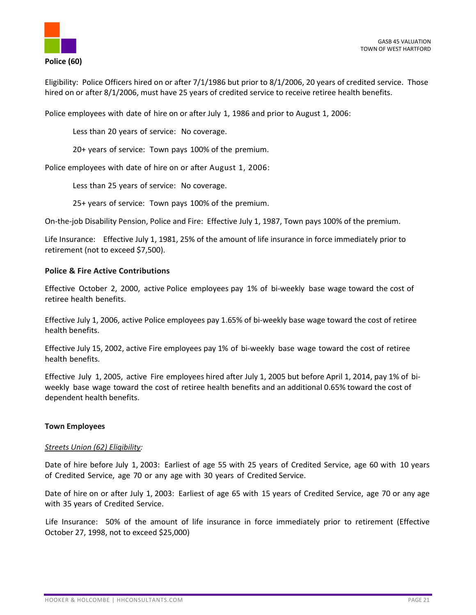

Eligibility: Police Officers hired on or after 7/1/1986 but prior to 8/1/2006, 20 years of credited service. Those hired on or after 8/1/2006, must have 25 years of credited service to receive retiree health benefits.

Police employees with date of hire on or after July 1, 1986 and prior to August 1, 2006:

Less than 20 years of service: No coverage.

20+ years of service: Town pays 100% of the premium.

Police employees with date of hire on or after August 1, 2006:

Less than 25 years of service: No coverage.

25+ years of service: Town pays 100% of the premium.

On-the-job Disability Pension, Police and Fire: Effective July 1, 1987, Town pays 100% of the premium.

Life Insurance: Effective July 1, 1981, 25% of the amount of life insurance in force immediately prior to retirement (not to exceed \$7,500).

## **Police & Fire Active Contributions**

Effective October 2, 2000, active Police employees pay 1% of bi-weekly base wage toward the cost of retiree health benefits.

Effective July 1, 2006, active Police employees pay 1.65% of bi-weekly base wage toward the cost of retiree health benefits.

Effective July 15, 2002, active Fire employees pay 1% of bi-weekly base wage toward the cost of retiree health benefits.

Effective July 1, 2005, active Fire employees hired after July 1, 2005 but before April 1, 2014, pay 1% of biweekly base wage toward the cost of retiree health benefits and an additional 0.65% toward the cost of dependent health benefits.

#### **Town Employees**

#### *Streets Union (62) Eligibility:*

Date of hire before July 1, 2003: Earliest of age 55 with 25 years of Credited Service, age 60 with 10 years of Credited Service, age 70 or any age with 30 years of Credited Service.

Date of hire on or after July 1, 2003: Earliest of age 65 with 15 years of Credited Service, age 70 or any age with 35 years of Credited Service.

Life Insurance: 50% of the amount of life insurance in force immediately prior to retirement (Effective October 27, 1998, not to exceed \$25,000)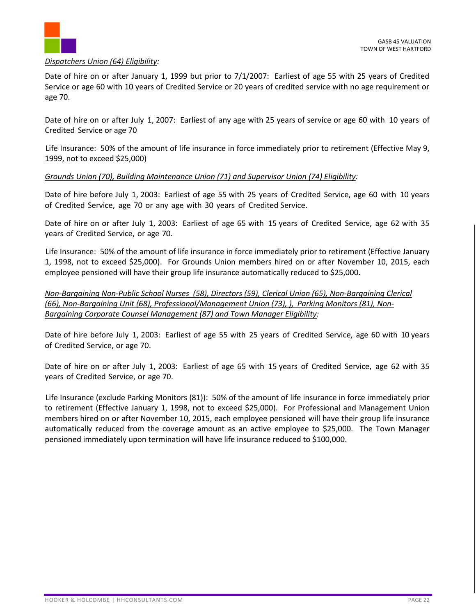

## *Dispatchers Union (64) Eligibility:*

Date of hire on or after January 1, 1999 but prior to 7/1/2007: Earliest of age 55 with 25 years of Credited Service or age 60 with 10 years of Credited Service or 20 years of credited service with no age requirement or age 70.

Date of hire on or after July 1, 2007: Earliest of any age with 25 years of service or age 60 with 10 years of Credited Service or age 70

Life Insurance: 50% of the amount of life insurance in force immediately prior to retirement (Effective May 9, 1999, not to exceed \$25,000)

# *Grounds Union (70), Building Maintenance Union (71) and Supervisor Union (74) Eligibility:*

Date of hire before July 1, 2003: Earliest of age 55 with 25 years of Credited Service, age 60 with 10 years of Credited Service, age 70 or any age with 30 years of Credited Service.

Date of hire on or after July 1, 2003: Earliest of age 65 with 15 years of Credited Service, age 62 with 35 years of Credited Service, or age 70.

Life Insurance: 50% of the amount of life insurance in force immediately prior to retirement (Effective January 1, 1998, not to exceed \$25,000). For Grounds Union members hired on or after November 10, 2015, each employee pensioned will have their group life insurance automatically reduced to \$25,000.

*Non-Bargaining Non-Public School Nurses (58), Directors (59), Clerical Union (65), Non-Bargaining Clerical (66), Non-Bargaining Unit (68), Professional/Management Union (73), ), Parking Monitors (81), Non-Bargaining Corporate Counsel Management (87) and Town Manager Eligibility:* 

Date of hire before July 1, 2003: Earliest of age 55 with 25 years of Credited Service, age 60 with 10 years of Credited Service, or age 70.

Date of hire on or after July 1, 2003: Earliest of age 65 with 15 years of Credited Service, age 62 with 35 years of Credited Service, or age 70.

Life Insurance (exclude Parking Monitors (81)): 50% of the amount of life insurance in force immediately prior to retirement (Effective January 1, 1998, not to exceed \$25,000). For Professional and Management Union members hired on or after November 10, 2015, each employee pensioned will have their group life insurance automatically reduced from the coverage amount as an active employee to \$25,000. The Town Manager pensioned immediately upon termination will have life insurance reduced to \$100,000.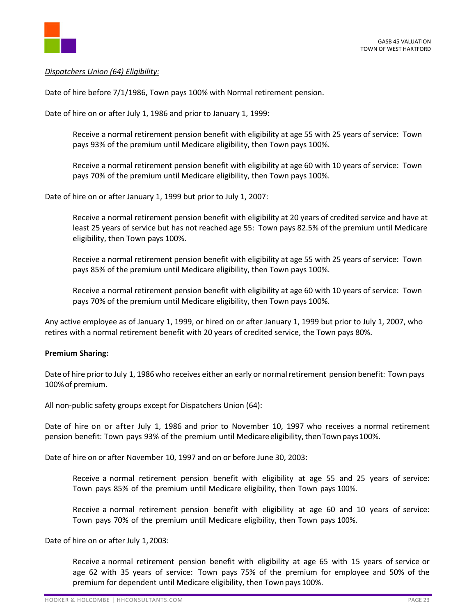

# *Dispatchers Union (64) Eligibility:*

Date of hire before 7/1/1986, Town pays 100% with Normal retirement pension.

Date of hire on or after July 1, 1986 and prior to January 1, 1999:

Receive a normal retirement pension benefit with eligibility at age 55 with 25 years of service: Town pays 93% of the premium until Medicare eligibility, then Town pays 100%.

Receive a normal retirement pension benefit with eligibility at age 60 with 10 years of service: Town pays 70% of the premium until Medicare eligibility, then Town pays 100%.

Date of hire on or after January 1, 1999 but prior to July 1, 2007:

Receive a normal retirement pension benefit with eligibility at 20 years of credited service and have at least 25 years of service but has not reached age 55: Town pays 82.5% of the premium until Medicare eligibility, then Town pays 100%.

Receive a normal retirement pension benefit with eligibility at age 55 with 25 years of service: Town pays 85% of the premium until Medicare eligibility, then Town pays 100%.

Receive a normal retirement pension benefit with eligibility at age 60 with 10 years of service: Town pays 70% of the premium until Medicare eligibility, then Town pays 100%.

Any active employee as of January 1, 1999, or hired on or after January 1, 1999 but prior to July 1, 2007, who retires with a normal retirement benefit with 20 years of credited service, the Town pays 80%.

#### **Premium Sharing:**

Date of hire prior to July 1, 1986 who receives either an early or normal retirement pension benefit: Town pays 100%of premium.

All non-public safety groups except for Dispatchers Union (64):

Date of hire on or after July 1, 1986 and prior to November 10, 1997 who receives a normal retirement pension benefit: Town pays 93% of the premium until Medicareeligibility,thenTown pays100%.

Date of hire on or after November 10, 1997 and on or before June 30, 2003:

Receive a normal retirement pension benefit with eligibility at age 55 and 25 years of service: Town pays 85% of the premium until Medicare eligibility, then Town pays 100%.

Receive a normal retirement pension benefit with eligibility at age 60 and 10 years of service: Town pays 70% of the premium until Medicare eligibility, then Town pays 100%.

Date of hire on or after July 1,2003:

Receive a normal retirement pension benefit with eligibility at age 65 with 15 years of service or age 62 with 35 years of service: Town pays 75% of the premium for employee and 50% of the premium for dependent until Medicare eligibility, then Townpays 100%.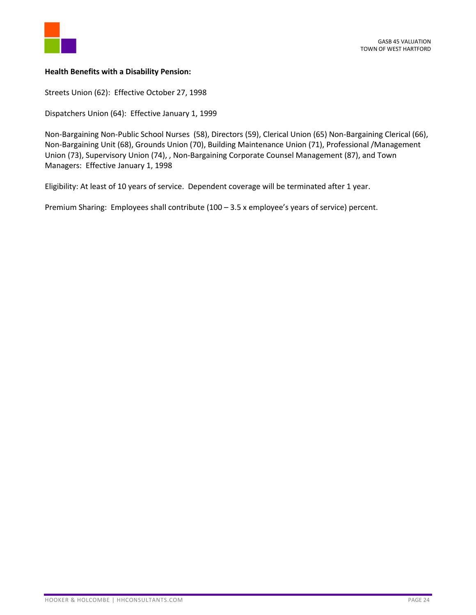

# **Health Benefits with a Disability Pension:**

Streets Union (62): Effective October 27, 1998

Dispatchers Union (64): Effective January 1, 1999

Non-Bargaining Non-Public School Nurses (58), Directors (59), Clerical Union (65) Non-Bargaining Clerical (66), Non-Bargaining Unit (68), Grounds Union (70), Building Maintenance Union (71), Professional /Management Union (73), Supervisory Union (74), , Non-Bargaining Corporate Counsel Management (87), and Town Managers: Effective January 1, 1998

Eligibility: At least of 10 years of service. Dependent coverage will be terminated after 1 year.

Premium Sharing: Employees shall contribute (100 – 3.5 x employee's years of service) percent.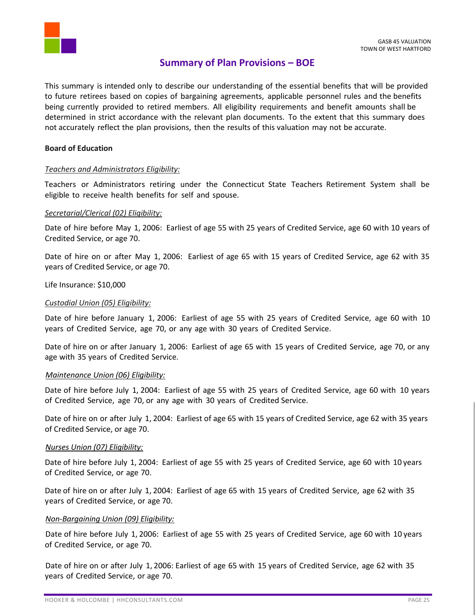

# **Summary of Plan Provisions – BOE**

This summary is intended only to describe our understanding of the essential benefits that will be provided to future retirees based on copies of bargaining agreements, applicable personnel rules and the benefits being currently provided to retired members. All eligibility requirements and benefit amounts shall be determined in strict accordance with the relevant plan documents. To the extent that this summary does not accurately reflect the plan provisions, then the results of this valuation may not be accurate.

#### **Board of Education**

## *Teachers and Administrators Eligibility:*

Teachers or Administrators retiring under the Connecticut State Teachers Retirement System shall be eligible to receive health benefits for self and spouse.

## *Secretarial/Clerical (02) Eligibility:*

Date of hire before May 1, 2006: Earliest of age 55 with 25 years of Credited Service, age 60 with 10 years of Credited Service, or age 70.

Date of hire on or after May 1, 2006: Earliest of age 65 with 15 years of Credited Service, age 62 with 35 years of Credited Service, or age 70.

Life Insurance: \$10,000

## *Custodial Union (05) Eligibility:*

Date of hire before January 1, 2006: Earliest of age 55 with 25 years of Credited Service, age 60 with 10 years of Credited Service, age 70, or any age with 30 years of Credited Service.

Date of hire on or after January 1, 2006: Earliest of age 65 with 15 years of Credited Service, age 70, or any age with 35 years of Credited Service.

#### *Maintenance Union (06) Eligibility:*

Date of hire before July 1, 2004: Earliest of age 55 with 25 years of Credited Service, age 60 with 10 years of Credited Service, age 70, or any age with 30 years of Credited Service.

Date of hire on or after July 1, 2004: Earliest of age 65 with 15 years of Credited Service, age 62 with 35 years of Credited Service, or age 70.

#### *Nurses Union (07) Eligibility:*

Date of hire before July 1, 2004: Earliest of age 55 with 25 years of Credited Service, age 60 with 10 years of Credited Service, or age 70.

Date of hire on or after July 1, 2004: Earliest of age 65 with 15 years of Credited Service, age 62 with 35 years of Credited Service, or age 70.

# *Non-Bargaining Union (09) Eligibility:*

Date of hire before July 1, 2006: Earliest of age 55 with 25 years of Credited Service, age 60 with 10 years of Credited Service, or age 70.

Date of hire on or after July 1, 2006: Earliest of age 65 with 15 years of Credited Service, age 62 with 35 years of Credited Service, or age 70.